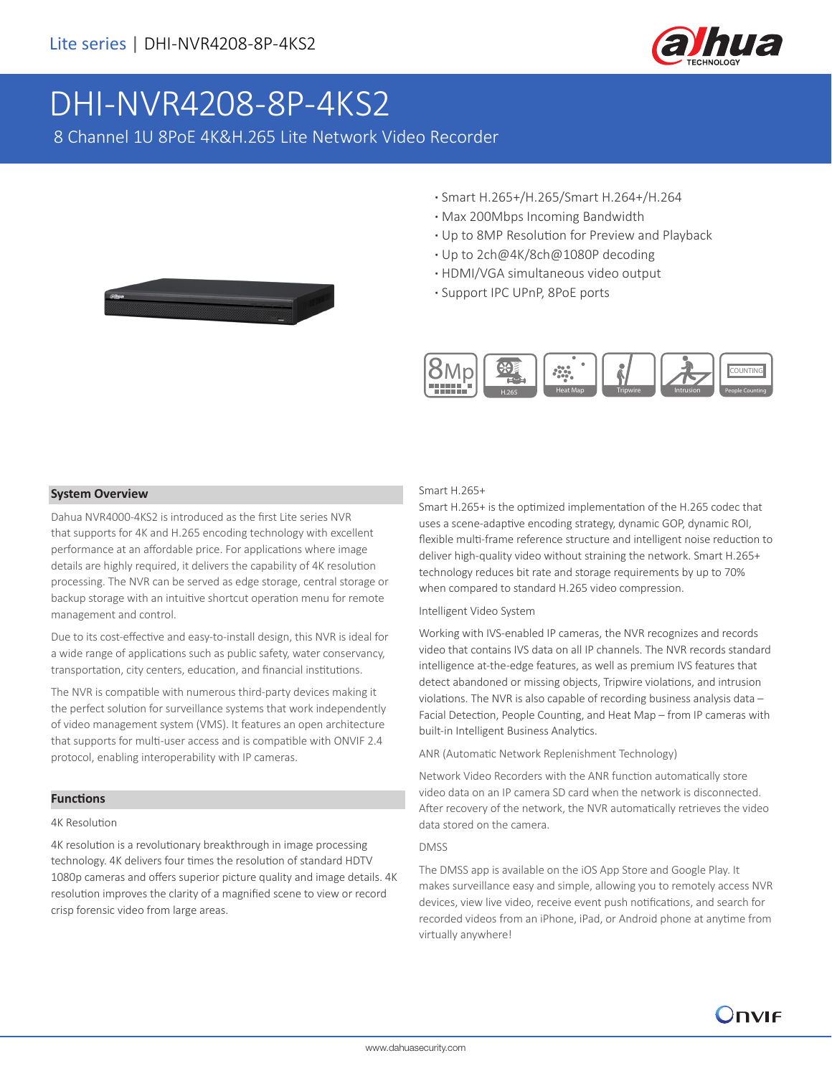

# [DHI-NVR4208-8P-4KS2](https://www.ultramaster.ro/supraveghere-video.html)

8 Channel 1U 8PoE 4K&H.265 Lite Network Video Recorder

- **·** Smart H.265+/H.265/Smart H.264+/H.264
- **·** Max 200Mbps Incoming Bandwidth
- **·** Up to 8MP Resolution for Preview and Playback
- **·** Up to 2ch@4K/8ch@1080P decoding
- **·** HDMI/VGA simultaneous video output
- **·** Support IPC UPnP, 8PoE ports



### **System Overview**

Dahua NVR4000-4KS2 is introduced as the first Lite series NVR that supports for 4K and H.265 encoding technology with excellent performance at an affordable price. For applications where image details are highly required, it delivers the capability of 4K resolution processing. The NVR can be served as edge storage, central storage or backup storage with an intuitive shortcut operation menu for remote management and control.

Due to its cost-effective and easy-to-install design, this NVR is ideal for a wide range of applications such as public safety, water conservancy, transportation, city centers, education, and financial institutions.

The NVR is compatible with numerous third-party devices making it the perfect solution for surveillance systems that work independently of video management system (VMS). It features an open architecture that supports for multi-user access and is compatible with ONVIF 2.4 protocol, enabling interoperability with IP cameras.

### **Functions**

### 4K Resolution

4K resolution is a revolutionary breakthrough in image processing technology. 4K delivers four times the resolution of standard HDTV 1080p cameras and offers superior picture quality and image details. 4K resolution improves the clarity of a magnified scene to view or record crisp forensic video from large areas.

### Smart H.265+

Smart H.265+ is the optimized implementation of the H.265 codec that uses a scene-adaptive encoding strategy, dynamic GOP, dynamic ROI, flexible multi-frame reference structure and intelligent noise reduction to deliver high-quality video without straining the network. Smart H.265+ technology reduces bit rate and storage requirements by up to 70% when compared to standard H.265 video compression.

### Intelligent Video System

Working with IVS-enabled IP cameras, the NVR recognizes and records video that contains IVS data on all IP channels. The NVR records standard intelligence at-the-edge features, as well as premium IVS features that detect abandoned or missing objects, Tripwire violations, and intrusion violations. The NVR is also capable of recording business analysis data – Facial Detection, People Counting, and Heat Map – from IP cameras with built-in Intelligent Business Analytics.

ANR (Automatic Network Replenishment Technology)

Network Video Recorders with the ANR function automatically store video data on an IP camera SD card when the network is disconnected. After recovery of the network, the NVR automatically retrieves the video data stored on the camera.

### DMSS

The DMSS app is available on the iOS App Store and Google Play. It makes surveillance easy and simple, allowing you to remotely access NVR devices, view live video, receive event push notifications, and search for recorded videos from an iPhone, iPad, or Android phone at anytime from virtually anywhere!

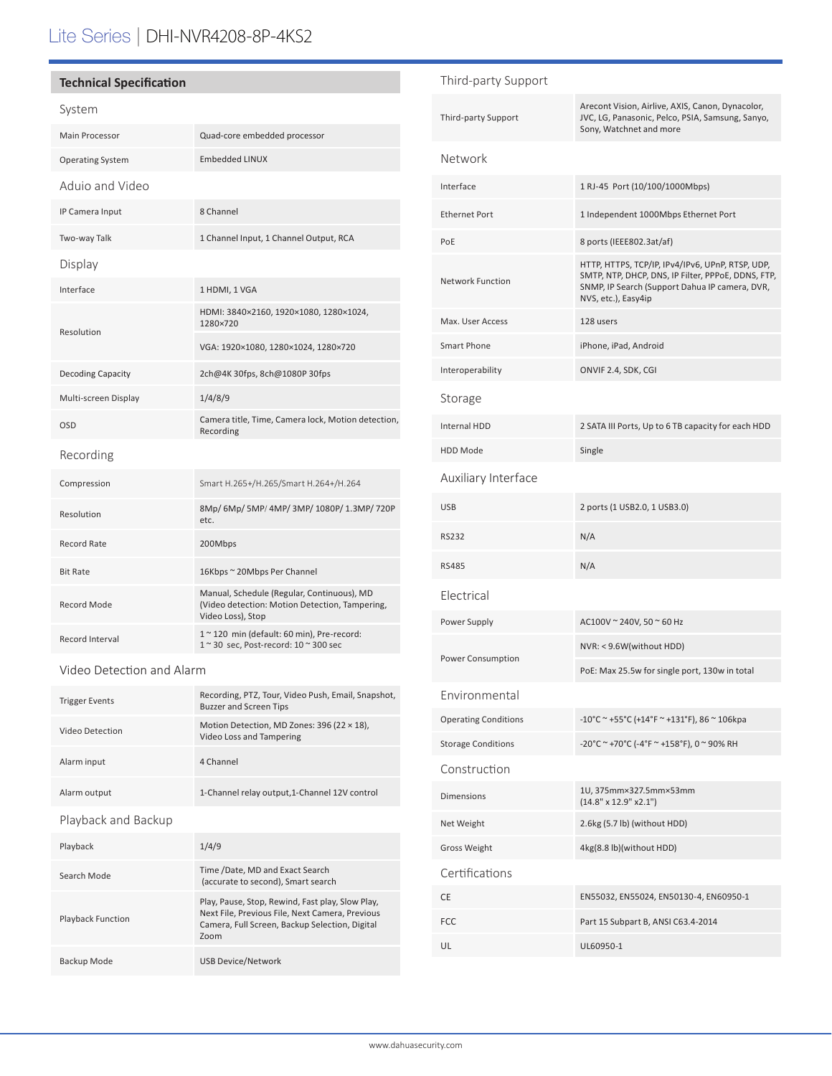# Lite Series | DHI-NVR4208-8P-4KS2

### **Technical Specification**

### System

| Main Processor          | Quad-core embedded processor                                                                                      |  |  |
|-------------------------|-------------------------------------------------------------------------------------------------------------------|--|--|
| <b>Operating System</b> | <b>Embedded LINUX</b>                                                                                             |  |  |
| Aduio and Video         |                                                                                                                   |  |  |
| IP Camera Input         | 8 Channel                                                                                                         |  |  |
| Two-way Talk            | 1 Channel Input, 1 Channel Output, RCA                                                                            |  |  |
| Display                 |                                                                                                                   |  |  |
| Interface               | 1 HDMI, 1 VGA                                                                                                     |  |  |
| Resolution              | HDMI: 3840×2160, 1920×1080, 1280×1024,<br>1280×720                                                                |  |  |
|                         | VGA: 1920×1080, 1280×1024, 1280×720                                                                               |  |  |
| Decoding Capacity       | 2ch@4K 30fps, 8ch@1080P 30fps                                                                                     |  |  |
| Multi-screen Display    | 1/4/8/9                                                                                                           |  |  |
| OSD                     | Camera title, Time, Camera lock, Motion detection,<br>Recording                                                   |  |  |
| Recording               |                                                                                                                   |  |  |
| Compression             | Smart H.265+/H.265/Smart H.264+/H.264                                                                             |  |  |
| Resolution              | 8Mp/ 6Mp/ 5MP/ 4MP/ 3MP/ 1080P/ 1.3MP/ 720P<br>etc.                                                               |  |  |
| <b>Record Rate</b>      | 200Mbps                                                                                                           |  |  |
| <b>Bit Rate</b>         | 16Kbps ~ 20Mbps Per Channel                                                                                       |  |  |
| <b>Record Mode</b>      | Manual, Schedule (Regular, Continuous), MD<br>(Video detection: Motion Detection, Tampering,<br>Video Loss), Stop |  |  |
| Record Interval         | 1~120 min (default: 60 min), Pre-record:<br>1~30 sec, Post-record: 10~300 sec                                     |  |  |

#### Video Detection and Alarm

| <b>Trigger Events</b> | Recording, PTZ, Tour, Video Push, Email, Snapshot,<br><b>Buzzer and Screen Tips</b>                                                                           |  |
|-----------------------|---------------------------------------------------------------------------------------------------------------------------------------------------------------|--|
| Video Detection       | Motion Detection, MD Zones: 396 (22 × 18),<br>Video Loss and Tampering                                                                                        |  |
| Alarm input           | 4 Channel                                                                                                                                                     |  |
| Alarm output          | 1-Channel relay output, 1-Channel 12V control                                                                                                                 |  |
| Playback and Backup   |                                                                                                                                                               |  |
| Playback              | 1/4/9                                                                                                                                                         |  |
| Search Mode           | Time /Date, MD and Exact Search<br>(accurate to second), Smart search                                                                                         |  |
| Playback Function     | Play, Pause, Stop, Rewind, Fast play, Slow Play,<br>Next File, Previous File, Next Camera, Previous<br>Camera, Full Screen, Backup Selection, Digital<br>Zoom |  |
| Backup Mode           | <b>USB Device/Network</b>                                                                                                                                     |  |

## Third-party Support Third-party Support Arecont Vision, Airlive, AXIS, Canon, Dynacolor, JVC, LG, Panasonic, Pelco, PSIA, Samsung, Sanyo, Sony, Watchnet and more Network Interface 1 RJ-45 Port (10/100/1000Mbps) Ethernet Port 11 Independent 1000Mbps Ethernet Port PoE 8 ports (IEEE802.3at/af) Network Function HTTP, HTTPS, TCP/IP, IPv4/IPv6, UPnP, RTSP, UDP, SMTP, NTP, DHCP, DNS, IP Filter, PPPoE, DDNS, FTP, SNMP, IP Search (Support Dahua IP camera, DVR, NVS, etc.), Easy4ip Max. User Access 128 users Smart Phone iPhone, iPad, Android Interoperability ONVIF 2.4, SDK, CGI Storage Internal HDD 2 SATA III Ports, Up to 6 TB capacity for each HDD HDD Mode Single Auxiliary Interface USB 2 ports (1 USB2.0, 1 USB3.0) RS232 N/A RS485 N/A Electrical Power Supply AC100V ~ 240V, 50 ~ 60 Hz Power Consumption NVR: < 9.6W(without HDD) PoE: Max 25.5w for single port, 130w in total Environmental Operating Conditions  $-10^{\circ}$ C ~ +55°C (+14°F ~ +131°F), 86 ~ 106kpa Storage Conditions  $-20^{\circ}C^{\sim}$  +70°C (-4°F  $\sim$  +158°F), 0  $\sim$  90% RH Construction Dimensions 1U, 375mm×327.5mm×53mm (14.8" x 12.9" x2.1") Net Weight 2.6kg (5.7 lb) (without HDD) Gross Weight 4kg(8.8 lb)(without HDD) Certifications CE EN55032, EN55024, EN50130-4, EN60950-1 FCC Part 15 Subpart B, ANSI C63.4-2014 UL UL60950-1